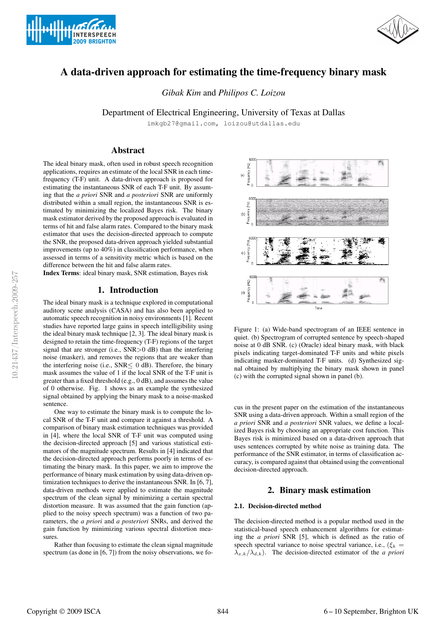



# A data-driven approach for estimating the time-frequency binary mask

*Gibak Kim* and *Philipos C. Loizou*

Department of Electrical Engineering, University of Texas at Dallas

imkgb27@gmail.com, loizou@utdallas.edu

# Abstract

The ideal binary mask, often used in robust speech recognition applications, requires an estimate of the local SNR in each timefrequency (T-F) unit. A data-driven approach is proposed for estimating the instantaneous SNR of each T-F unit. By assuming that the *a priori* SNR and *a posteriori* SNR are uniformly distributed within a small region, the instantaneous SNR is estimated by minimizing the localized Bayes risk. The binary mask estimator derived by the proposed approach is evaluated in terms of hit and false alarm rates. Compared to the binary mask estimator that uses the decision-directed approach to compute the SNR, the proposed data-driven approach yielded substantial improvements (up to 40%) in classification performance, when assessed in terms of a sensitivity metric which is based on the difference between the hit and false alarm rates.

Index Terms: ideal binary mask, SNR estimation, Bayes risk

# 1. Introduction

The ideal binary mask is a technique explored in computational auditory scene analysis (CASA) and has also been applied to automatic speech recognition in noisy environments [1]. Recent studies have reported large gains in speech intelligibility using the ideal binary mask technique [2, 3]. The ideal binary mask is designed to retain the time-frequency (T-F) regions of the target signal that are stronger (i.e., SNR>0 dB) than the interfering noise (masker), and removes the regions that are weaker than the interfering noise (i.e.,  $SNR \leq 0$  dB). Therefore, the binary mask assumes the value of 1 if the local SNR of the T-F unit is greater than a fixed threshold (e.g., 0 dB), and assumes the value of 0 otherwise. Fig. 1 shows as an example the synthesized signal obtained by applying the binary mask to a noise-masked sentence.

One way to estimate the binary mask is to compute the local SNR of the T-F unit and compare it against a threshold. A comparison of binary mask estimation techniques was provided in [4], where the local SNR of T-F unit was computed using the decision-directed approach [5] and various statistical estimators of the magnitude spectrum. Results in [4] indicated that the decision-directed approach performs poorly in terms of estimating the binary mask. In this paper, we aim to improve the performance of binary mask estimation by using data-driven optimization techniques to derive the instantaneous SNR. In [6, 7], data-driven methods were applied to estimate the magnitude spectrum of the clean signal by minimizing a certain spectral distortion measure. It was assumed that the gain function (applied to the noisy speech spectrum) was a function of two parameters, the *a priori* and *a posteriori* SNRs, and derived the gain function by minimizing various spectral distortion measures.

Rather than focusing to estimate the clean signal magnitude spectrum (as done in [6, 7]) from the noisy observations, we fo-



Figure 1: (a) Wide-band spectrogram of an IEEE sentence in quiet. (b) Spectrogram of corrupted sentence by speech-shaped noise at 0 dB SNR. (c) (Oracle) ideal binary mask, with black pixels indicating target-dominated T-F units and white pixels indicating masker-dominated T-F units. (d) Synthesized signal obtained by multiplying the binary mask shown in panel (c) with the corrupted signal shown in panel (b).

cus in the present paper on the estimation of the instantaneous SNR using a data-driven approach. Within a small region of the *a priori* SNR and *a posteriori* SNR values, we define a localized Bayes risk by choosing an appropriate cost function. This Bayes risk is minimized based on a data-driven approach that uses sentences corrupted by white noise as training data. The performance of the SNR estimator, in terms of classification accuracy, is compared against that obtained using the conventional decision-directed approach.

# 2. Binary mask estimation

## 2.1. Decision-directed method

The decision-directed method is a popular method used in the statistical-based speech enhancement algorithms for estimating the *a priori* SNR [5], which is defined as the ratio of speech spectral variance to noise spectral variance, i.e.,  $(\xi_k =$  $\lambda_{x,k}/\lambda_{d,k}$ ). The decision-directed estimator of the *a priori*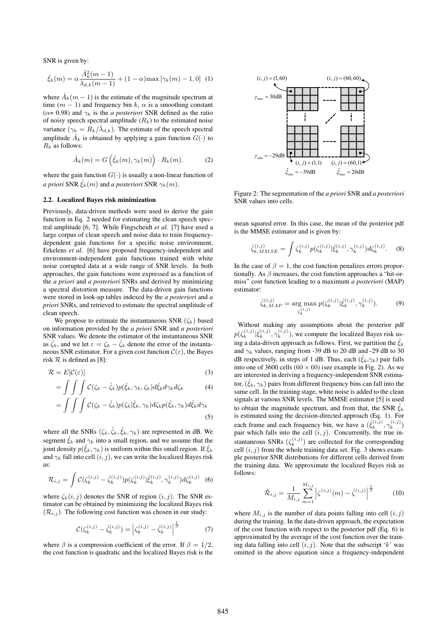SNR is given by:

$$
\hat{\xi}_k(m) = \alpha \frac{\hat{A}_k^2(m-1)}{\lambda_{d,k}(m-1)} + (1-\alpha) \max[\gamma_k(m) - 1, 0] \tag{1}
$$

where  $A_k(m-1)$  is the estimate of the magnitude spectrum at time  $(m - 1)$  and frequency bin k,  $\alpha$  is a smoothing constant  $(\alpha = 0.98)$  and  $\gamma_k$  is the *a posteriori* SNR defined as the ratio of noisy speech spectral amplitude  $(R_k)$  to the estimated noise variance  $(\gamma_k = R_k/\lambda_{d,k})$ . The estimate of the speech spectral amplitude  $\hat{A}_k$  is obtained by applying a gain function  $G(\cdot)$  to  $R_k$  as follows:

$$
\hat{A}_k(m) = G\left(\hat{\xi}_k(m), \gamma_k(m)\right) \cdot R_k(m). \tag{2}
$$

where the gain function  $G(\cdot)$  is usually a non-linear function of *a priori* SNR  $\zeta_k(m)$  and *a posteriori* SNR  $\gamma_k(m)$ .

#### 2.2. Localized Bayes risk minimization

Previously, data-driven methods were used to derive the gain function in Eq. 2 needed for estimating the clean speech spectral amplitude [6, 7]. While Fingscheidt *et al.* [7] have used a large corpus of clean speech and noise data to train frequencydependent gain functions for a specific noise environment, Erkelens *et al.* [6] have proposed frequency-independent and environment-independent gain functions trained with white noise corrupted data at a wide range of SNR levels. In both approaches, the gain functions were expressed as a function of the *a priori* and *a posteriori* SNRs and derived by minimizing a spectral distortion measure. The data-driven gain functions were stored in look-up tables indexed by the *a posteriori* and *a priori* SNRs, and retrieved to estimate the spectral amplitude of clean speech.

We propose to estimate the instantaneous SNR  $(\zeta_k)$  based on information provided by the *a priori* SNR and *a posteriori* SNR values. We denote the estimator of the instantaneous SNR as  $\hat{\zeta}_k$ , and we let  $\varepsilon = \zeta_k - \hat{\zeta}_k$  denote the error of the instantaneous SNR estimator. For a given cost function  $\mathcal{C}(\varepsilon)$ , the Bayes risk  $R$  is defined as [8]:

$$
\mathcal{R} = E[\mathcal{C}(\varepsilon)] \tag{3}
$$

$$
= \int\int\int\int \mathcal{C}(\zeta_k - \hat{\zeta}_k)p(\hat{\xi}_k, \gamma_k, \zeta_k)d\hat{\xi}_k d\gamma_k d\zeta_k \tag{4}
$$

$$
= \int \int \int \mathcal{C}(\zeta_k - \hat{\zeta}_k) p(\zeta_k | \hat{\xi}_k, \gamma_k) d\zeta_k p(\hat{\xi}_k, \gamma_k) d\hat{\xi}_k d\gamma_k
$$
\n(5)

where all the SNRs  $(\zeta_k, \hat{\zeta}_k, \hat{\zeta}_k, \gamma_k)$  are represented in dB. We segment  $\hat{\xi}_k$  and  $\gamma_k$  into a small region, and we assume that the joint density  $p(\hat{\xi}_k, \gamma_k)$  is uniform within this small region. If  $\hat{\xi}_k$ and  $\gamma_k$  fall into cell  $(i, j)$ , we can write the localized Bayes risk as:

$$
\mathcal{R}_{i,j} = \int \mathcal{C}(\zeta_k^{(i,j)} - \hat{\zeta}_k^{(i,j)}) p(\zeta_k^{(i,j)} | \hat{\xi}_k^{(i,j)}, \gamma_k^{(i,j)}) d\zeta_k^{(i,j)} \tag{6}
$$

where  $\zeta_k(i, j)$  denotes the SNR of region  $(i, j)$ . The SNR estimator can be obtained by minimizing the localized Bayes risk  $(\mathcal{R}_{i,j})$ . The following cost function was chosen in our study:

$$
\mathcal{C}(\zeta_k^{(i,j)} - \hat{\zeta}_k^{(i,j)}) = \left| \zeta_k^{(i,j)} - \hat{\zeta}_k^{(i,j)} \right|^{\frac{1}{\beta}} \tag{7}
$$

where  $\beta$  is a compression coefficient of the error. If  $\beta = 1/2$ , the cost function is quadratic and the localized Bayes risk is the



Figure 2: The segmentation of the *a priori* SNR and *a posteriori* SNR values into cells.

mean squared error. In this case, the mean of the posterior pdf is the MMSE estimator and is given by:

$$
\hat{\zeta}_{k,MMSE}^{(i,j)} = \int \zeta_k^{(i,j)} p(\zeta_k^{(i,j)} | \hat{\xi}_k^{(i,j)}, \gamma_k^{(i,j)}) d\zeta_k^{(i,j)}.
$$
 (8)

In the case of  $\beta = 1$ , the cost function penalizes errors proportionally. As  $\beta$  increases, the cost function approaches a "hit-ormiss" cost function leading to a maximum *a posteriori* (MAP) estimator:

$$
\hat{\zeta}_{k,MAP}^{(i,j)} = \underset{\zeta_k^{(i,j)}}{\arg \max} p(\zeta_k^{(i,j)} | \hat{\xi}_k^{(i,j)}, \gamma_k^{(i,j)}).
$$
 (9)

Without making any assumptions about the posterior pdf  $p(\zeta_k^{(i,j)} | \hat{\xi}_k^{(i,j)}, \gamma_k^{(i,j)})$ , we compute the localized Bayes risk using a data-driven approach as follows. First, we partition the  $\hat{\xi}_k$ and  $\gamma_k$  values, ranging from -39 dB to 20 dB and -29 dB to 30 dB respectively, in steps of 1 dB. Thus, each  $(\hat{\xi}_k, \gamma_k)$  pair falls into one of 3600 cells  $(60 \times 60)$  (see example in Fig. 2). As we are interested in deriving a frequency-independent SNR estimator,  $(\xi_k, \gamma_k)$  pairs from different frequency bins can fall into the same cell. In the training stage, white noise is added to the clean signals at various SNR levels. The MMSE estimator [5] is used to obtain the magnitude spectrum, and from that, the SNR  $\hat{\xi}_k$ is estimated using the decision-directed approach (Eq. 1). For each frame and each frequency bin, we have a  $(\hat{\xi}_k^{(i,j)}, \gamma_k^{(i,j)})$ pair which falls into the cell  $(i, j)$ . Concurrently, the true instantaneous SNRs  $(\zeta_k^{(i,j)})$  are collected for the corresponding cell  $(i, j)$  from the whole training data set. Fig. 3 shows example posterior SNR distributions for different cells derived from the training data. We approximate the localized Bayes risk as follows:

$$
\tilde{\mathcal{R}}_{i,j} = \frac{1}{M_{i,j}} \sum_{m=1}^{M_{i,j}} \left| \zeta^{(i,j)}(m) - \hat{\zeta}^{(i,j)} \right|^{\frac{1}{\beta}} \tag{10}
$$

where  $M_{i,j}$  is the number of data points falling into cell  $(i, j)$ during the training. In the data-driven approach, the expectation of the cost function with respect to the posterior pdf (Eq. 6) is approximated by the average of the cost function over the training data falling into cell  $(i, j)$ . Note that the subscript 'k' was omitted in the above equation since a frequency-independent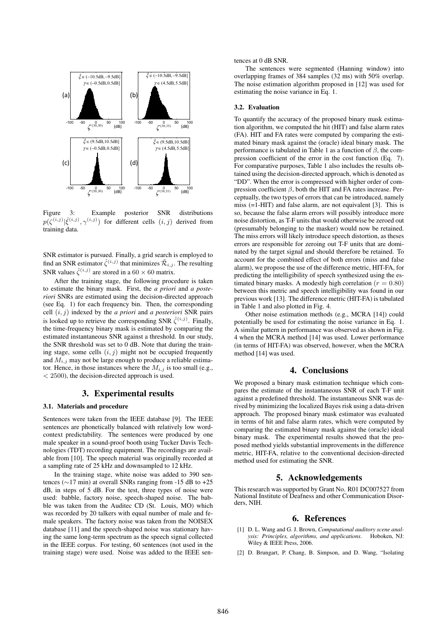

Figure 3: Example posterior SNR distributions  $p(\zeta^{(i,j)}|\hat{\xi}^{(i,j)}, \gamma^{(i,j)})$  for different cells  $(i,j)$  derived from training data.

SNR estimator is pursued. Finally, a grid search is employed to find an SNR estimator  $\hat{\zeta}^{(i,j)}$  that minimizes  $\tilde{\mathcal{R}}_{i,j}$ . The resulting SNR values  $\hat{\zeta}^{(i,j)}$  are stored in a 60 × 60 matrix.

After the training stage, the following procedure is taken to estimate the binary mask. First, the *a priori* and *a posteriori* SNRs are estimated using the decision-directed approach (see Eq. 1) for each frequency bin. Then, the corresponding cell  $(i, j)$  indexed by the *a priori* and *a posteriori* SNR pairs is looked up to retrieve the corresponding SNR  $\hat{\zeta}^{(i,j)}$ . Finally, the time-frequency binary mask is estimated by comparing the estimated instantaneous SNR against a threshold. In our study, the SNR threshold was set to 0 dB. Note that during the training stage, some cells  $(i, j)$  might not be occupied frequently and  $M_{i,j}$  may not be large enough to produce a reliable estimator. Hence, in those instances where the  $M_{i,j}$  is too small (e.g., < 2500), the decision-directed approach is used.

## 3. Experimental results

#### 3.1. Materials and procedure

Sentences were taken from the IEEE database [9]. The IEEE sentences are phonetically balanced with relatively low wordcontext predictability. The sentences were produced by one male speaker in a sound-proof booth using Tucker Davis Technologies (TDT) recording equipment. The recordings are available from [10]. The speech material was originally recorded at a sampling rate of 25 kHz and downsampled to 12 kHz.

In the training stage, white noise was added to 390 sentences (∼17 min) at overall SNRs ranging from -15 dB to +25 dB, in steps of 5 dB. For the test, three types of noise were used: babble, factory noise, speech-shaped noise. The babble was taken from the Auditec CD (St. Louis, MO) which was recorded by 20 talkers with equal number of male and female speakers. The factory noise was taken from the NOISEX database [11] and the speech-shaped noise was stationary having the same long-term spectrum as the speech signal collected in the IEEE corpus. For testing, 60 sentences (not used in the training stage) were used. Noise was added to the IEEE sentences at 0 dB SNR.

The sentences were segmented (Hanning window) into overlapping frames of 384 samples (32 ms) with 50% overlap. The noise estimation algorithm proposed in [12] was used for estimating the noise variance in Eq. 1.

## 3.2. Evaluation

To quantify the accuracy of the proposed binary mask estimation algorithm, we computed the hit (HIT) and false alarm rates (FA). HIT and FA rates were computed by comparing the estimated binary mask against the (oracle) ideal binary mask. The performance is tabulated in Table 1 as a function of  $\beta$ , the compression coefficient of the error in the cost function (Eq. 7). For comparative purposes, Table 1 also includes the results obtained using the decision-directed approach, which is denoted as "DD". When the error is compressed with higher order of compression coefficient  $\beta$ , both the HIT and FA rates increase. Perceptually, the two types of errors that can be introduced, namely miss (=1-HIT) and false alarm, are not equivalent [3]. This is so, because the false alarm errors will possibly introduce more noise distortion, as T-F units that would otherwise be zeroed out (presumably belonging to the masker) would now be retained. The miss errors will likely introduce speech distortion, as theses errors are responsible for zeroing out T-F units that are dominated by the target signal and should therefore be retained. To account for the combined effect of both errors (miss and false alarm), we propose the use of the difference metric, HIT-FA, for predicting the intelligibility of speech synthesized using the estimated binary masks. A modestly high correlation ( $r = 0.80$ ) between this metric and speech intelligibility was found in our previous work [13]. The difference metric (HIT-FA) is tabulated in Table 1 and also plotted in Fig. 4.

Other noise estimation methods (e.g., MCRA [14]) could potentially be used for estimating the noise variance in Eq. 1. A similar pattern in performance was observed as shown in Fig. 4 when the MCRA method [14] was used. Lower performance (in terms of HIT-FA) was observed, however, when the MCRA method [14] was used.

## 4. Conclusions

We proposed a binary mask estimation technique which compares the estimate of the instantaneous SNR of each T-F unit against a predefined threshold. The instantaneous SNR was derived by minimizing the localized Bayes risk using a data-driven approach. The proposed binary mask estimator was evaluated in terms of hit and false alarm rates, which were computed by comparing the estimated binary mask against the (oracle) ideal binary mask. The experimental results showed that the proposed method yields substantial improvements in the difference metric, HIT-FA, relative to the conventional decision-directed method used for estimating the SNR.

# 5. Acknowledgements

This research was supported by Grant No. R01 DC007527 from National Institute of Deafness and other Communication Disorders, NIH.

#### 6. References

- [1] D. L. Wang and G. J. Brown, *Computational auditory scene analysis: Principles, algorithms, and applications*. Hoboken, NJ: Wiley & IEEE Press, 2006.
- [2] D. Brungart, P. Chang, B. Simpson, and D. Wang, "Isolating